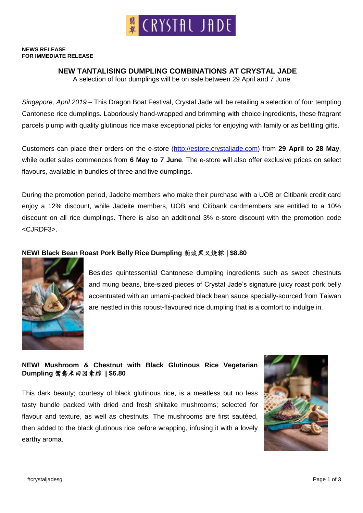

#### **NEWS RELEASE FOR IMMEDIATE RELEASE**

### **NEW TANTALISING DUMPLING COMBINATIONS AT CRYSTAL JADE**

A selection of four dumplings will be on sale between 29 April and 7 June

*Singapore, April 2019* – This Dragon Boat Festival, Crystal Jade will be retailing a selection of four tempting Cantonese rice dumplings. Laboriously hand-wrapped and brimming with choice ingredients, these fragrant parcels plump with quality glutinous rice make exceptional picks for enjoying with family or as befitting gifts.

Customers can place their orders on the e-store [\(http://estore.crystaljade.com\)](http://estore.crystaljade.com/) from **29 April to 28 May**, while outlet sales commences from **6 May to 7 June**. The e-store will also offer exclusive prices on select flavours, available in bundles of three and five dumplings.

During the promotion period, Jadeite members who make their purchase with a UOB or Citibank credit card enjoy a 12% discount, while Jadeite members, UOB and Citibank cardmembers are entitled to a 10% discount on all rice dumplings. There is also an additional 3% e-store discount with the promotion code <CJRDF3>.

### **NEW! Black Bean Roast Pork Belly Rice Dumpling** 荫豉黑叉烧粽 **| \$8.80**



Besides quintessential Cantonese dumpling ingredients such as sweet chestnuts and mung beans, bite-sized pieces of Crystal Jade's signature juicy roast pork belly accentuated with an umami-packed black bean sauce specially-sourced from Taiwan are nestled in this robust-flavoured rice dumpling that is a comfort to indulge in.

## **NEW! Mushroom & Chestnut with Black Glutinous Rice Vegetarian Dumpling** 鸳鸯米田园素粽 **| \$6.80**

This dark beauty; courtesy of black glutinous rice, is a meatless but no less tasty bundle packed with dried and fresh shiitake mushrooms; selected for flavour and texture, as well as chestnuts. The mushrooms are first sautéed, then added to the black glutinous rice before wrapping, infusing it with a lovely earthy aroma.

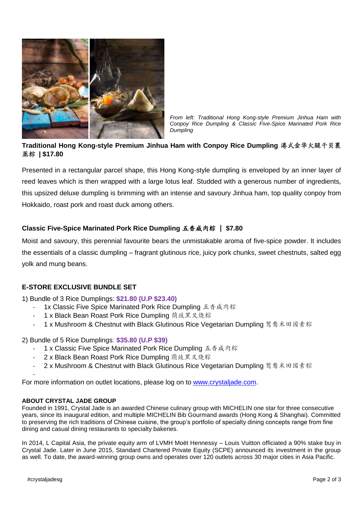

*From left: Traditional Hong Kong-style Premium Jinhua Ham with Conpoy Rice Dumpling & Classic Five-Spice Marinated Pork Rice Dumpling*

# **Traditional Hong Kong-style Premium Jinhua Ham with Conpoy Rice Dumpling** 港式金华火腿干贝裹 蒸粽 **| \$17.80**

Presented in a rectangular parcel shape, this Hong Kong-style dumpling is enveloped by an inner layer of reed leaves which is then wrapped with a large lotus leaf. Studded with a generous number of ingredients, this upsized deluxe dumpling is brimming with an intense and savoury Jinhua ham, top quality conpoy from Hokkaido, roast pork and roast duck among others.

## **Classic Five-Spice Marinated Pork Rice Dumpling** 五香咸肉粽 | **\$7.80**

Moist and savoury, this perennial favourite bears the unmistakable aroma of five-spice powder. It includes the essentials of a classic dumpling – fragrant glutinous rice, juicy pork chunks, sweet chestnuts, salted egg yolk and mung beans.

## **E-STORE EXCLUSIVE BUNDLE SET**

1) Bundle of 3 Rice Dumplings: **\$21.80 (U.P \$23.40)**

- 1x Classic Five Spice Marinated Pork Rice Dumpling 五香咸肉粽
- 1 x Black Bean Roast Pork Rice Dumpling 荫豉黑叉烧粽
- 1 x Mushroom & Chestnut with Black Glutinous Rice Vegetarian Dumpling 鸳鸯米田园素粽

2) Bundle of 5 Rice Dumplings: **\$35.80 (U.P \$39)**

- 1 x Classic Five Spice Marinated Pork Rice Dumpling 五香咸肉粽
- 2 x Black Bean Roast Pork Rice Dumpling 荫豉黑叉烧粽
- 2 x Mushroom & Chestnut with Black Glutinous Rice Vegetarian Dumpling 鸳鸯米田园素粽

 For more information on outlet locations, please log on to [www.crystaljade.com.](http://www.crystaljade.com/)

#### **ABOUT CRYSTAL JADE GROUP**

Founded in 1991, Crystal Jade is an awarded Chinese culinary group with MICHELIN one star for three consecutive years, since its inaugural edition, and multiple MICHELIN Bib Gourmand awards (Hong Kong & Shanghai). Committed to preserving the rich traditions of Chinese cuisine, the group's portfolio of specialty dining concepts range from fine dining and casual dining restaurants to specialty bakeries.

In 2014, L Capital Asia, the private equity arm of LVMH Moët Hennessy – Louis Vuitton officiated a 90% stake buy in Crystal Jade. Later in June 2015, Standard Chartered Private Equity (SCPE) announced its investment in the group as well. To date, the award-winning group owns and operates over 120 outlets across 30 major cities in Asia Pacific.